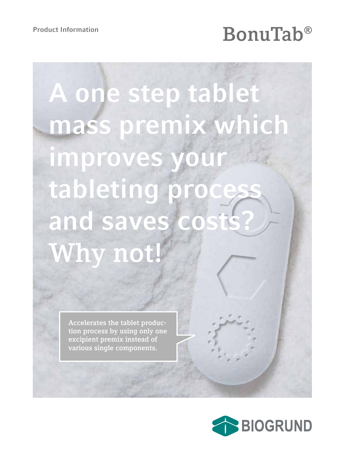# Product Information<br>**BonuTab®**

# **A one step tablet mass premix which improves your tableting process and saves costs? Why not!**

**Accelerates the tablet production process by using only one excipient premix instead of various single components.**